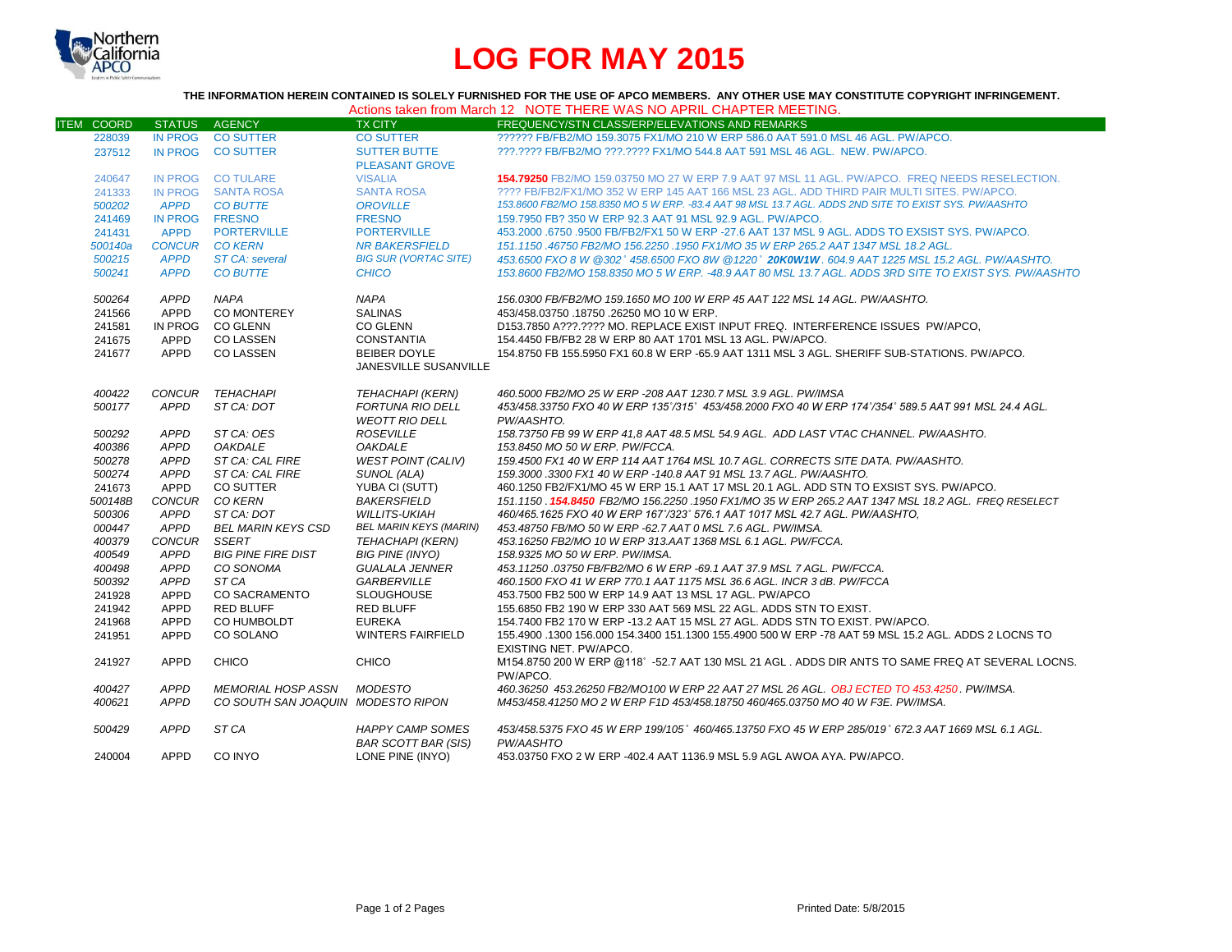

## **LOG FOR MAY 2015**

**THE INFORMATION HEREIN CONTAINED IS SOLELY FURNISHED FOR THE USE OF APCO MEMBERS. ANY OTHER USE MAY CONSTITUTE COPYRIGHT INFRINGEMENT.**

| Actions taken from March 12 NOTE THERE WAS NO APRIL CHAPTER MEETING. |
|----------------------------------------------------------------------|
|----------------------------------------------------------------------|

| IN PROG CO SUTTER<br>?????? FB/FB2/MO 159.3075 FX1/MO 210 W ERP 586.0 AAT 591.0 MSL 46 AGL. PW/APCO.<br>228039<br><b>CO SUTTER</b><br>???.???? FB/FB2/MO ???.???? FX1/MO 544.8 AAT 591 MSL 46 AGL. NEW. PW/APCO.<br>237512<br>IN PROG CO SUTTER<br><b>SUTTER BUTTE</b><br><b>PLEASANT GROVE</b><br>IN PROG CO TULARE<br><b>VISALIA</b><br><b>154.79250 FB2/MO 159.03750 MO 27 W ERP 7.9 AAT 97 MSL 11 AGL. PW/APCO. FREQ NEEDS RESELECTION.</b><br>240647<br>???? FB/FB2/FX1/MO 352 W ERP 145 AAT 166 MSL 23 AGL. ADD THIRD PAIR MULTI SITES. PW/APCO.<br>IN PROG SANTA ROSA<br><b>SANTA ROSA</b><br>241333<br>153.8600 FB2/MO 158.8350 MO 5 W ERP. -83.4 AAT 98 MSL 13.7 AGL. ADDS 2ND SITE TO EXIST SYS. PW/AASHTO<br><b>APPD</b><br>500202<br><b>CO BUTTE</b><br><b>OROVILLE</b><br>IN PROG FRESNO<br><b>FRESNO</b><br>159.7950 FB? 350 W ERP 92.3 AAT 91 MSL 92.9 AGL, PW/APCO.<br>241469<br><b>PORTERVILLE</b><br><b>APPD</b><br><b>PORTERVILLE</b><br>453,2000 .6750 .9500 FB/FB2/FX1 50 W ERP -27.6 AAT 137 MSL 9 AGL. ADDS TO EXSIST SYS, PW/APCO.<br>241431<br><b>CONCUR CO KERN</b><br><b>NR BAKERSFIELD</b><br>151.1150.46750 FB2/MO 156.2250.1950 FX1/MO 35 W ERP 265.2 AAT 1347 MSL 18.2 AGL.<br>500140a<br><b>APPD</b><br><b>BIG SUR (VORTAC SITE)</b><br>453,6500 FXO 8 W @302° 458,6500 FXO 8W @1220° 20K0W1W, 604.9 AAT 1225 MSL 15.2 AGL, PW/AASHTO,<br>500215<br>ST CA: several<br><b>APPD</b><br><b>CO BUTTE</b><br>153.8600 FB2/MO 158.8350 MO 5 W ERP. -48.9 AAT 80 MSL 13.7 AGL. ADDS 3RD SITE TO EXIST SYS. PW/AASHTO<br>500241<br><b>CHICO</b><br><b>APPD</b><br><b>NAPA</b><br><b>NAPA</b><br>156.0300 FB/FB2/MO 159.1650 MO 100 W ERP 45 AAT 122 MSL 14 AGL. PW/AASHTO.<br>500264<br>CO MONTEREY<br>241566<br>APPD<br><b>SALINAS</b><br>453/458.03750 .18750 .26250 MO 10 W ERP.<br>D153.7850 A???.???? MO. REPLACE EXIST INPUT FREQ. INTERFERENCE ISSUES PW/APCO.<br>241581<br>IN PROG<br>CO GLENN<br><b>CO GLENN</b><br>APPD<br><b>CO LASSEN</b><br>154.4450 FB/FB2 28 W ERP 80 AAT 1701 MSL 13 AGL. PW/APCO.<br>241675<br>CONSTANTIA<br>241677<br>APPD<br><b>CO LASSEN</b><br><b>BEIBER DOYLE</b><br>154.8750 FB 155.5950 FX1 60.8 W ERP -65.9 AAT 1311 MSL 3 AGL. SHERIFF SUB-STATIONS. PW/APCO.<br>JANESVILLE SUSANVILLE<br>400422<br>CONCUR TEHACHAPI<br><b>TEHACHAPI (KERN)</b><br>460.5000 FB2/MO 25 W ERP -208 AAT 1230.7 MSL 3.9 AGL. PW/IMSA<br>APPD<br><b>FORTUNA RIO DELL</b><br>453/458.33750 FXO 40 W ERP 135°/315° 453/458.2000 FXO 40 W ERP 174°/354° 589.5 AAT 991 MSL 24.4 AGL.<br>500177<br>ST CA: DOT<br><b>WEOTT RIO DELL</b><br>PW/AASHTO.<br><b>APPD</b><br>ST CA: OES<br><b>ROSEVILLE</b><br>158.73750 FB 99 W ERP 41,8 AAT 48.5 MSL 54.9 AGL. ADD LAST VTAC CHANNEL. PW/AASHTO.<br>500292<br>400386<br>APPD<br><b>OAKDALE</b><br><b>OAKDALE</b><br>153.8450 MO 50 W ERP. PW/FCCA.<br><b>WEST POINT (CALIV)</b><br>159.4500 FX1 40 W ERP 114 AAT 1764 MSL 10.7 AGL. CORRECTS SITE DATA, PW/AASHTO.<br>500278<br>APPD<br>ST CA: CAL FIRE<br>500274<br>APPD<br>ST CA: CAL FIRE<br>SUNOL (ALA)<br>159.3000.3300 FX1 40 W ERP -140.8 AAT 91 MSL 13.7 AGL. PW/AASHTO.<br>APPD<br>CO SUTTER<br>YUBA CI (SUTT)<br>460.1250 FB2/FX1/MO 45 W ERP 15.1 AAT 17 MSL 20.1 AGL, ADD STN TO EXSIST SYS, PW/APCO,<br>241673<br>CONCUR CO KERN<br><b>BAKERSFIELD</b><br>500148B<br>151.1150 .154.8450 FB2/MO 156.2250 .1950 FX1/MO 35 W ERP 265.2 AAT 1347 MSL 18.2 AGL. FREQ RESELECT<br>500306<br>APPD<br>ST CA: DOT<br><b>WILLITS-UKIAH</b><br>460/465.1625 FXO 40 W ERP 167°/323° 576.1 AAT 1017 MSL 42.7 AGL. PW/AASHTO,<br><b>APPD</b><br><b>BEL MARIN KEYS (MARIN)</b><br>000447<br><b>BEL MARIN KEYS CSD</b><br>453.48750 FB/MO 50 W ERP -62.7 AAT 0 MSL 7.6 AGL, PW/IMSA.<br>400379<br><b>CONCUR</b><br>SSERT<br>TEHACHAPI (KERN)<br>453.16250 FB2/MO 10 W ERP 313.AAT 1368 MSL 6.1 AGL. PW/FCCA.<br>APPD<br><b>BIG PINE FIRE DIST</b><br><b>BIG PINE (INYO)</b><br>158.9325 MO 50 W ERP. PW/IMSA.<br>400549<br>453.11250.03750 FB/FB2/MO 6 W ERP -69.1 AAT 37.9 MSL 7 AGL. PW/FCCA.<br>400498<br>APPD<br>CO SONOMA<br><b>GUALALA JENNER</b><br>500392<br>APPD<br>ST <sub>CA</sub><br><b>GARBERVILLE</b><br>460.1500 FXO 41 W ERP 770.1 AAT 1175 MSL 36.6 AGL. INCR 3 dB. PW/FCCA<br><b>CO SACRAMENTO</b><br>241928<br>APPD<br><b>SLOUGHOUSE</b><br>453.7500 FB2 500 W ERP 14.9 AAT 13 MSL 17 AGL. PW/APCO<br><b>APPD</b><br><b>RED BLUFF</b><br><b>RED BLUFF</b><br>241942<br>155.6850 FB2 190 W ERP 330 AAT 569 MSL 22 AGL. ADDS STN TO EXIST.<br><b>APPD</b><br>CO HUMBOLDT<br><b>EUREKA</b><br>241968<br>154,7400 FB2 170 W ERP -13.2 AAT 15 MSL 27 AGL, ADDS STN TO EXIST, PW/APCO.<br>CO SOLANO<br>241951<br>APPD<br><b>WINTERS FAIRFIELD</b><br>155.4900 .1300 156.000 154.3400 151.1300 155.4900 500 W ERP -78 AAT 59 MSL 15.2 AGL. ADDS 2 LOCNS TO<br>EXISTING NET. PW/APCO.<br><b>APPD</b><br>CHICO<br><b>CHICO</b><br>M154.8750 200 W ERP @118°-52.7 AAT 130 MSL 21 AGL. ADDS DIR ANTS TO SAME FREQ AT SEVERAL LOCNS.<br>241927<br>PW/APCO.<br><b>APPD</b><br><b>MEMORIAL HOSP ASSN MODESTO</b><br>460.36250 453.26250 FB2/MO100 W ERP 22 AAT 27 MSL 26 AGL, OBJ ECTED TO 453.4250, PW/IMSA.<br>400427<br>400621<br>APPD<br>CO SOUTH SAN JOAQUIN MODESTO RIPON<br>M453/458.41250 MO 2 W ERP F1D 453/458.18750 460/465.03750 MO 40 W F3E. PW/IMSA.<br><b>APPD</b><br>ST CA<br><b>HAPPY CAMP SOMES</b><br>453/458.5375 FXO 45 W ERP 199/105° 460/465.13750 FXO 45 W ERP 285/019° 672.3 AAT 1669 MSL 6.1 AGL.<br>500429<br><b>BAR SCOTT BAR (SIS)</b><br>PW/AASHTO | <b>ITEM COORD</b> | STATUS AGENCY |         | <b>TX CITY</b>   | FREQUENCY/STN CLASS/ERP/ELEVATIONS AND REMARKS                         |
|------------------------------------------------------------------------------------------------------------------------------------------------------------------------------------------------------------------------------------------------------------------------------------------------------------------------------------------------------------------------------------------------------------------------------------------------------------------------------------------------------------------------------------------------------------------------------------------------------------------------------------------------------------------------------------------------------------------------------------------------------------------------------------------------------------------------------------------------------------------------------------------------------------------------------------------------------------------------------------------------------------------------------------------------------------------------------------------------------------------------------------------------------------------------------------------------------------------------------------------------------------------------------------------------------------------------------------------------------------------------------------------------------------------------------------------------------------------------------------------------------------------------------------------------------------------------------------------------------------------------------------------------------------------------------------------------------------------------------------------------------------------------------------------------------------------------------------------------------------------------------------------------------------------------------------------------------------------------------------------------------------------------------------------------------------------------------------------------------------------------------------------------------------------------------------------------------------------------------------------------------------------------------------------------------------------------------------------------------------------------------------------------------------------------------------------------------------------------------------------------------------------------------------------------------------------------------------------------------------------------------------------------------------------------------------------------------------------------------------------------------------------------------------------------------------------------------------------------------------------------------------------------------------------------------------------------------------------------------------------------------------------------------------------------------------------------------------------------------------------------------------------------------------------------------------------------------------------------------------------------------------------------------------------------------------------------------------------------------------------------------------------------------------------------------------------------------------------------------------------------------------------------------------------------------------------------------------------------------------------------------------------------------------------------------------------------------------------------------------------------------------------------------------------------------------------------------------------------------------------------------------------------------------------------------------------------------------------------------------------------------------------------------------------------------------------------------------------------------------------------------------------------------------------------------------------------------------------------------------------------------------------------------------------------------------------------------------------------------------------------------------------------------------------------------------------------------------------------------------------------------------------------------------------------------------------------------------------------------------------------------------------------------------------------------------------------------------------------------------------------------------------------------------------------------------------------------------------------------------------------------------------------------------------------------------------------------------------------------------------------------------------------------------------------------------------------------------------------------------------------------------------------------------------------------------------------------------------------------------------------------------------------------------------------------------------------------------------------------------------------------------------------------------------------------------------------------------------------------------------------------------------------|-------------------|---------------|---------|------------------|------------------------------------------------------------------------|
|                                                                                                                                                                                                                                                                                                                                                                                                                                                                                                                                                                                                                                                                                                                                                                                                                                                                                                                                                                                                                                                                                                                                                                                                                                                                                                                                                                                                                                                                                                                                                                                                                                                                                                                                                                                                                                                                                                                                                                                                                                                                                                                                                                                                                                                                                                                                                                                                                                                                                                                                                                                                                                                                                                                                                                                                                                                                                                                                                                                                                                                                                                                                                                                                                                                                                                                                                                                                                                                                                                                                                                                                                                                                                                                                                                                                                                                                                                                                                                                                                                                                                                                                                                                                                                                                                                                                                                                                                                                                                                                                                                                                                                                                                                                                                                                                                                                                                                                                                                                                                                                                                                                                                                                                                                                                                                                                                                                                                                                                                                                        |                   |               |         |                  |                                                                        |
|                                                                                                                                                                                                                                                                                                                                                                                                                                                                                                                                                                                                                                                                                                                                                                                                                                                                                                                                                                                                                                                                                                                                                                                                                                                                                                                                                                                                                                                                                                                                                                                                                                                                                                                                                                                                                                                                                                                                                                                                                                                                                                                                                                                                                                                                                                                                                                                                                                                                                                                                                                                                                                                                                                                                                                                                                                                                                                                                                                                                                                                                                                                                                                                                                                                                                                                                                                                                                                                                                                                                                                                                                                                                                                                                                                                                                                                                                                                                                                                                                                                                                                                                                                                                                                                                                                                                                                                                                                                                                                                                                                                                                                                                                                                                                                                                                                                                                                                                                                                                                                                                                                                                                                                                                                                                                                                                                                                                                                                                                                                        |                   |               |         |                  |                                                                        |
|                                                                                                                                                                                                                                                                                                                                                                                                                                                                                                                                                                                                                                                                                                                                                                                                                                                                                                                                                                                                                                                                                                                                                                                                                                                                                                                                                                                                                                                                                                                                                                                                                                                                                                                                                                                                                                                                                                                                                                                                                                                                                                                                                                                                                                                                                                                                                                                                                                                                                                                                                                                                                                                                                                                                                                                                                                                                                                                                                                                                                                                                                                                                                                                                                                                                                                                                                                                                                                                                                                                                                                                                                                                                                                                                                                                                                                                                                                                                                                                                                                                                                                                                                                                                                                                                                                                                                                                                                                                                                                                                                                                                                                                                                                                                                                                                                                                                                                                                                                                                                                                                                                                                                                                                                                                                                                                                                                                                                                                                                                                        |                   |               |         |                  |                                                                        |
|                                                                                                                                                                                                                                                                                                                                                                                                                                                                                                                                                                                                                                                                                                                                                                                                                                                                                                                                                                                                                                                                                                                                                                                                                                                                                                                                                                                                                                                                                                                                                                                                                                                                                                                                                                                                                                                                                                                                                                                                                                                                                                                                                                                                                                                                                                                                                                                                                                                                                                                                                                                                                                                                                                                                                                                                                                                                                                                                                                                                                                                                                                                                                                                                                                                                                                                                                                                                                                                                                                                                                                                                                                                                                                                                                                                                                                                                                                                                                                                                                                                                                                                                                                                                                                                                                                                                                                                                                                                                                                                                                                                                                                                                                                                                                                                                                                                                                                                                                                                                                                                                                                                                                                                                                                                                                                                                                                                                                                                                                                                        |                   |               |         |                  |                                                                        |
|                                                                                                                                                                                                                                                                                                                                                                                                                                                                                                                                                                                                                                                                                                                                                                                                                                                                                                                                                                                                                                                                                                                                                                                                                                                                                                                                                                                                                                                                                                                                                                                                                                                                                                                                                                                                                                                                                                                                                                                                                                                                                                                                                                                                                                                                                                                                                                                                                                                                                                                                                                                                                                                                                                                                                                                                                                                                                                                                                                                                                                                                                                                                                                                                                                                                                                                                                                                                                                                                                                                                                                                                                                                                                                                                                                                                                                                                                                                                                                                                                                                                                                                                                                                                                                                                                                                                                                                                                                                                                                                                                                                                                                                                                                                                                                                                                                                                                                                                                                                                                                                                                                                                                                                                                                                                                                                                                                                                                                                                                                                        |                   |               |         |                  |                                                                        |
|                                                                                                                                                                                                                                                                                                                                                                                                                                                                                                                                                                                                                                                                                                                                                                                                                                                                                                                                                                                                                                                                                                                                                                                                                                                                                                                                                                                                                                                                                                                                                                                                                                                                                                                                                                                                                                                                                                                                                                                                                                                                                                                                                                                                                                                                                                                                                                                                                                                                                                                                                                                                                                                                                                                                                                                                                                                                                                                                                                                                                                                                                                                                                                                                                                                                                                                                                                                                                                                                                                                                                                                                                                                                                                                                                                                                                                                                                                                                                                                                                                                                                                                                                                                                                                                                                                                                                                                                                                                                                                                                                                                                                                                                                                                                                                                                                                                                                                                                                                                                                                                                                                                                                                                                                                                                                                                                                                                                                                                                                                                        |                   |               |         |                  |                                                                        |
|                                                                                                                                                                                                                                                                                                                                                                                                                                                                                                                                                                                                                                                                                                                                                                                                                                                                                                                                                                                                                                                                                                                                                                                                                                                                                                                                                                                                                                                                                                                                                                                                                                                                                                                                                                                                                                                                                                                                                                                                                                                                                                                                                                                                                                                                                                                                                                                                                                                                                                                                                                                                                                                                                                                                                                                                                                                                                                                                                                                                                                                                                                                                                                                                                                                                                                                                                                                                                                                                                                                                                                                                                                                                                                                                                                                                                                                                                                                                                                                                                                                                                                                                                                                                                                                                                                                                                                                                                                                                                                                                                                                                                                                                                                                                                                                                                                                                                                                                                                                                                                                                                                                                                                                                                                                                                                                                                                                                                                                                                                                        |                   |               |         |                  |                                                                        |
|                                                                                                                                                                                                                                                                                                                                                                                                                                                                                                                                                                                                                                                                                                                                                                                                                                                                                                                                                                                                                                                                                                                                                                                                                                                                                                                                                                                                                                                                                                                                                                                                                                                                                                                                                                                                                                                                                                                                                                                                                                                                                                                                                                                                                                                                                                                                                                                                                                                                                                                                                                                                                                                                                                                                                                                                                                                                                                                                                                                                                                                                                                                                                                                                                                                                                                                                                                                                                                                                                                                                                                                                                                                                                                                                                                                                                                                                                                                                                                                                                                                                                                                                                                                                                                                                                                                                                                                                                                                                                                                                                                                                                                                                                                                                                                                                                                                                                                                                                                                                                                                                                                                                                                                                                                                                                                                                                                                                                                                                                                                        |                   |               |         |                  |                                                                        |
|                                                                                                                                                                                                                                                                                                                                                                                                                                                                                                                                                                                                                                                                                                                                                                                                                                                                                                                                                                                                                                                                                                                                                                                                                                                                                                                                                                                                                                                                                                                                                                                                                                                                                                                                                                                                                                                                                                                                                                                                                                                                                                                                                                                                                                                                                                                                                                                                                                                                                                                                                                                                                                                                                                                                                                                                                                                                                                                                                                                                                                                                                                                                                                                                                                                                                                                                                                                                                                                                                                                                                                                                                                                                                                                                                                                                                                                                                                                                                                                                                                                                                                                                                                                                                                                                                                                                                                                                                                                                                                                                                                                                                                                                                                                                                                                                                                                                                                                                                                                                                                                                                                                                                                                                                                                                                                                                                                                                                                                                                                                        |                   |               |         |                  |                                                                        |
|                                                                                                                                                                                                                                                                                                                                                                                                                                                                                                                                                                                                                                                                                                                                                                                                                                                                                                                                                                                                                                                                                                                                                                                                                                                                                                                                                                                                                                                                                                                                                                                                                                                                                                                                                                                                                                                                                                                                                                                                                                                                                                                                                                                                                                                                                                                                                                                                                                                                                                                                                                                                                                                                                                                                                                                                                                                                                                                                                                                                                                                                                                                                                                                                                                                                                                                                                                                                                                                                                                                                                                                                                                                                                                                                                                                                                                                                                                                                                                                                                                                                                                                                                                                                                                                                                                                                                                                                                                                                                                                                                                                                                                                                                                                                                                                                                                                                                                                                                                                                                                                                                                                                                                                                                                                                                                                                                                                                                                                                                                                        |                   |               |         |                  |                                                                        |
|                                                                                                                                                                                                                                                                                                                                                                                                                                                                                                                                                                                                                                                                                                                                                                                                                                                                                                                                                                                                                                                                                                                                                                                                                                                                                                                                                                                                                                                                                                                                                                                                                                                                                                                                                                                                                                                                                                                                                                                                                                                                                                                                                                                                                                                                                                                                                                                                                                                                                                                                                                                                                                                                                                                                                                                                                                                                                                                                                                                                                                                                                                                                                                                                                                                                                                                                                                                                                                                                                                                                                                                                                                                                                                                                                                                                                                                                                                                                                                                                                                                                                                                                                                                                                                                                                                                                                                                                                                                                                                                                                                                                                                                                                                                                                                                                                                                                                                                                                                                                                                                                                                                                                                                                                                                                                                                                                                                                                                                                                                                        |                   |               |         |                  |                                                                        |
|                                                                                                                                                                                                                                                                                                                                                                                                                                                                                                                                                                                                                                                                                                                                                                                                                                                                                                                                                                                                                                                                                                                                                                                                                                                                                                                                                                                                                                                                                                                                                                                                                                                                                                                                                                                                                                                                                                                                                                                                                                                                                                                                                                                                                                                                                                                                                                                                                                                                                                                                                                                                                                                                                                                                                                                                                                                                                                                                                                                                                                                                                                                                                                                                                                                                                                                                                                                                                                                                                                                                                                                                                                                                                                                                                                                                                                                                                                                                                                                                                                                                                                                                                                                                                                                                                                                                                                                                                                                                                                                                                                                                                                                                                                                                                                                                                                                                                                                                                                                                                                                                                                                                                                                                                                                                                                                                                                                                                                                                                                                        |                   |               |         |                  |                                                                        |
|                                                                                                                                                                                                                                                                                                                                                                                                                                                                                                                                                                                                                                                                                                                                                                                                                                                                                                                                                                                                                                                                                                                                                                                                                                                                                                                                                                                                                                                                                                                                                                                                                                                                                                                                                                                                                                                                                                                                                                                                                                                                                                                                                                                                                                                                                                                                                                                                                                                                                                                                                                                                                                                                                                                                                                                                                                                                                                                                                                                                                                                                                                                                                                                                                                                                                                                                                                                                                                                                                                                                                                                                                                                                                                                                                                                                                                                                                                                                                                                                                                                                                                                                                                                                                                                                                                                                                                                                                                                                                                                                                                                                                                                                                                                                                                                                                                                                                                                                                                                                                                                                                                                                                                                                                                                                                                                                                                                                                                                                                                                        |                   |               |         |                  |                                                                        |
|                                                                                                                                                                                                                                                                                                                                                                                                                                                                                                                                                                                                                                                                                                                                                                                                                                                                                                                                                                                                                                                                                                                                                                                                                                                                                                                                                                                                                                                                                                                                                                                                                                                                                                                                                                                                                                                                                                                                                                                                                                                                                                                                                                                                                                                                                                                                                                                                                                                                                                                                                                                                                                                                                                                                                                                                                                                                                                                                                                                                                                                                                                                                                                                                                                                                                                                                                                                                                                                                                                                                                                                                                                                                                                                                                                                                                                                                                                                                                                                                                                                                                                                                                                                                                                                                                                                                                                                                                                                                                                                                                                                                                                                                                                                                                                                                                                                                                                                                                                                                                                                                                                                                                                                                                                                                                                                                                                                                                                                                                                                        |                   |               |         |                  |                                                                        |
|                                                                                                                                                                                                                                                                                                                                                                                                                                                                                                                                                                                                                                                                                                                                                                                                                                                                                                                                                                                                                                                                                                                                                                                                                                                                                                                                                                                                                                                                                                                                                                                                                                                                                                                                                                                                                                                                                                                                                                                                                                                                                                                                                                                                                                                                                                                                                                                                                                                                                                                                                                                                                                                                                                                                                                                                                                                                                                                                                                                                                                                                                                                                                                                                                                                                                                                                                                                                                                                                                                                                                                                                                                                                                                                                                                                                                                                                                                                                                                                                                                                                                                                                                                                                                                                                                                                                                                                                                                                                                                                                                                                                                                                                                                                                                                                                                                                                                                                                                                                                                                                                                                                                                                                                                                                                                                                                                                                                                                                                                                                        |                   |               |         |                  |                                                                        |
|                                                                                                                                                                                                                                                                                                                                                                                                                                                                                                                                                                                                                                                                                                                                                                                                                                                                                                                                                                                                                                                                                                                                                                                                                                                                                                                                                                                                                                                                                                                                                                                                                                                                                                                                                                                                                                                                                                                                                                                                                                                                                                                                                                                                                                                                                                                                                                                                                                                                                                                                                                                                                                                                                                                                                                                                                                                                                                                                                                                                                                                                                                                                                                                                                                                                                                                                                                                                                                                                                                                                                                                                                                                                                                                                                                                                                                                                                                                                                                                                                                                                                                                                                                                                                                                                                                                                                                                                                                                                                                                                                                                                                                                                                                                                                                                                                                                                                                                                                                                                                                                                                                                                                                                                                                                                                                                                                                                                                                                                                                                        |                   |               |         |                  |                                                                        |
|                                                                                                                                                                                                                                                                                                                                                                                                                                                                                                                                                                                                                                                                                                                                                                                                                                                                                                                                                                                                                                                                                                                                                                                                                                                                                                                                                                                                                                                                                                                                                                                                                                                                                                                                                                                                                                                                                                                                                                                                                                                                                                                                                                                                                                                                                                                                                                                                                                                                                                                                                                                                                                                                                                                                                                                                                                                                                                                                                                                                                                                                                                                                                                                                                                                                                                                                                                                                                                                                                                                                                                                                                                                                                                                                                                                                                                                                                                                                                                                                                                                                                                                                                                                                                                                                                                                                                                                                                                                                                                                                                                                                                                                                                                                                                                                                                                                                                                                                                                                                                                                                                                                                                                                                                                                                                                                                                                                                                                                                                                                        |                   |               |         |                  |                                                                        |
|                                                                                                                                                                                                                                                                                                                                                                                                                                                                                                                                                                                                                                                                                                                                                                                                                                                                                                                                                                                                                                                                                                                                                                                                                                                                                                                                                                                                                                                                                                                                                                                                                                                                                                                                                                                                                                                                                                                                                                                                                                                                                                                                                                                                                                                                                                                                                                                                                                                                                                                                                                                                                                                                                                                                                                                                                                                                                                                                                                                                                                                                                                                                                                                                                                                                                                                                                                                                                                                                                                                                                                                                                                                                                                                                                                                                                                                                                                                                                                                                                                                                                                                                                                                                                                                                                                                                                                                                                                                                                                                                                                                                                                                                                                                                                                                                                                                                                                                                                                                                                                                                                                                                                                                                                                                                                                                                                                                                                                                                                                                        |                   |               |         |                  |                                                                        |
|                                                                                                                                                                                                                                                                                                                                                                                                                                                                                                                                                                                                                                                                                                                                                                                                                                                                                                                                                                                                                                                                                                                                                                                                                                                                                                                                                                                                                                                                                                                                                                                                                                                                                                                                                                                                                                                                                                                                                                                                                                                                                                                                                                                                                                                                                                                                                                                                                                                                                                                                                                                                                                                                                                                                                                                                                                                                                                                                                                                                                                                                                                                                                                                                                                                                                                                                                                                                                                                                                                                                                                                                                                                                                                                                                                                                                                                                                                                                                                                                                                                                                                                                                                                                                                                                                                                                                                                                                                                                                                                                                                                                                                                                                                                                                                                                                                                                                                                                                                                                                                                                                                                                                                                                                                                                                                                                                                                                                                                                                                                        |                   |               |         |                  |                                                                        |
|                                                                                                                                                                                                                                                                                                                                                                                                                                                                                                                                                                                                                                                                                                                                                                                                                                                                                                                                                                                                                                                                                                                                                                                                                                                                                                                                                                                                                                                                                                                                                                                                                                                                                                                                                                                                                                                                                                                                                                                                                                                                                                                                                                                                                                                                                                                                                                                                                                                                                                                                                                                                                                                                                                                                                                                                                                                                                                                                                                                                                                                                                                                                                                                                                                                                                                                                                                                                                                                                                                                                                                                                                                                                                                                                                                                                                                                                                                                                                                                                                                                                                                                                                                                                                                                                                                                                                                                                                                                                                                                                                                                                                                                                                                                                                                                                                                                                                                                                                                                                                                                                                                                                                                                                                                                                                                                                                                                                                                                                                                                        |                   |               |         |                  |                                                                        |
|                                                                                                                                                                                                                                                                                                                                                                                                                                                                                                                                                                                                                                                                                                                                                                                                                                                                                                                                                                                                                                                                                                                                                                                                                                                                                                                                                                                                                                                                                                                                                                                                                                                                                                                                                                                                                                                                                                                                                                                                                                                                                                                                                                                                                                                                                                                                                                                                                                                                                                                                                                                                                                                                                                                                                                                                                                                                                                                                                                                                                                                                                                                                                                                                                                                                                                                                                                                                                                                                                                                                                                                                                                                                                                                                                                                                                                                                                                                                                                                                                                                                                                                                                                                                                                                                                                                                                                                                                                                                                                                                                                                                                                                                                                                                                                                                                                                                                                                                                                                                                                                                                                                                                                                                                                                                                                                                                                                                                                                                                                                        |                   |               |         |                  |                                                                        |
|                                                                                                                                                                                                                                                                                                                                                                                                                                                                                                                                                                                                                                                                                                                                                                                                                                                                                                                                                                                                                                                                                                                                                                                                                                                                                                                                                                                                                                                                                                                                                                                                                                                                                                                                                                                                                                                                                                                                                                                                                                                                                                                                                                                                                                                                                                                                                                                                                                                                                                                                                                                                                                                                                                                                                                                                                                                                                                                                                                                                                                                                                                                                                                                                                                                                                                                                                                                                                                                                                                                                                                                                                                                                                                                                                                                                                                                                                                                                                                                                                                                                                                                                                                                                                                                                                                                                                                                                                                                                                                                                                                                                                                                                                                                                                                                                                                                                                                                                                                                                                                                                                                                                                                                                                                                                                                                                                                                                                                                                                                                        |                   |               |         |                  |                                                                        |
|                                                                                                                                                                                                                                                                                                                                                                                                                                                                                                                                                                                                                                                                                                                                                                                                                                                                                                                                                                                                                                                                                                                                                                                                                                                                                                                                                                                                                                                                                                                                                                                                                                                                                                                                                                                                                                                                                                                                                                                                                                                                                                                                                                                                                                                                                                                                                                                                                                                                                                                                                                                                                                                                                                                                                                                                                                                                                                                                                                                                                                                                                                                                                                                                                                                                                                                                                                                                                                                                                                                                                                                                                                                                                                                                                                                                                                                                                                                                                                                                                                                                                                                                                                                                                                                                                                                                                                                                                                                                                                                                                                                                                                                                                                                                                                                                                                                                                                                                                                                                                                                                                                                                                                                                                                                                                                                                                                                                                                                                                                                        |                   |               |         |                  |                                                                        |
|                                                                                                                                                                                                                                                                                                                                                                                                                                                                                                                                                                                                                                                                                                                                                                                                                                                                                                                                                                                                                                                                                                                                                                                                                                                                                                                                                                                                                                                                                                                                                                                                                                                                                                                                                                                                                                                                                                                                                                                                                                                                                                                                                                                                                                                                                                                                                                                                                                                                                                                                                                                                                                                                                                                                                                                                                                                                                                                                                                                                                                                                                                                                                                                                                                                                                                                                                                                                                                                                                                                                                                                                                                                                                                                                                                                                                                                                                                                                                                                                                                                                                                                                                                                                                                                                                                                                                                                                                                                                                                                                                                                                                                                                                                                                                                                                                                                                                                                                                                                                                                                                                                                                                                                                                                                                                                                                                                                                                                                                                                                        |                   |               |         |                  |                                                                        |
|                                                                                                                                                                                                                                                                                                                                                                                                                                                                                                                                                                                                                                                                                                                                                                                                                                                                                                                                                                                                                                                                                                                                                                                                                                                                                                                                                                                                                                                                                                                                                                                                                                                                                                                                                                                                                                                                                                                                                                                                                                                                                                                                                                                                                                                                                                                                                                                                                                                                                                                                                                                                                                                                                                                                                                                                                                                                                                                                                                                                                                                                                                                                                                                                                                                                                                                                                                                                                                                                                                                                                                                                                                                                                                                                                                                                                                                                                                                                                                                                                                                                                                                                                                                                                                                                                                                                                                                                                                                                                                                                                                                                                                                                                                                                                                                                                                                                                                                                                                                                                                                                                                                                                                                                                                                                                                                                                                                                                                                                                                                        |                   |               |         |                  |                                                                        |
|                                                                                                                                                                                                                                                                                                                                                                                                                                                                                                                                                                                                                                                                                                                                                                                                                                                                                                                                                                                                                                                                                                                                                                                                                                                                                                                                                                                                                                                                                                                                                                                                                                                                                                                                                                                                                                                                                                                                                                                                                                                                                                                                                                                                                                                                                                                                                                                                                                                                                                                                                                                                                                                                                                                                                                                                                                                                                                                                                                                                                                                                                                                                                                                                                                                                                                                                                                                                                                                                                                                                                                                                                                                                                                                                                                                                                                                                                                                                                                                                                                                                                                                                                                                                                                                                                                                                                                                                                                                                                                                                                                                                                                                                                                                                                                                                                                                                                                                                                                                                                                                                                                                                                                                                                                                                                                                                                                                                                                                                                                                        |                   |               |         |                  |                                                                        |
|                                                                                                                                                                                                                                                                                                                                                                                                                                                                                                                                                                                                                                                                                                                                                                                                                                                                                                                                                                                                                                                                                                                                                                                                                                                                                                                                                                                                                                                                                                                                                                                                                                                                                                                                                                                                                                                                                                                                                                                                                                                                                                                                                                                                                                                                                                                                                                                                                                                                                                                                                                                                                                                                                                                                                                                                                                                                                                                                                                                                                                                                                                                                                                                                                                                                                                                                                                                                                                                                                                                                                                                                                                                                                                                                                                                                                                                                                                                                                                                                                                                                                                                                                                                                                                                                                                                                                                                                                                                                                                                                                                                                                                                                                                                                                                                                                                                                                                                                                                                                                                                                                                                                                                                                                                                                                                                                                                                                                                                                                                                        |                   |               |         |                  |                                                                        |
|                                                                                                                                                                                                                                                                                                                                                                                                                                                                                                                                                                                                                                                                                                                                                                                                                                                                                                                                                                                                                                                                                                                                                                                                                                                                                                                                                                                                                                                                                                                                                                                                                                                                                                                                                                                                                                                                                                                                                                                                                                                                                                                                                                                                                                                                                                                                                                                                                                                                                                                                                                                                                                                                                                                                                                                                                                                                                                                                                                                                                                                                                                                                                                                                                                                                                                                                                                                                                                                                                                                                                                                                                                                                                                                                                                                                                                                                                                                                                                                                                                                                                                                                                                                                                                                                                                                                                                                                                                                                                                                                                                                                                                                                                                                                                                                                                                                                                                                                                                                                                                                                                                                                                                                                                                                                                                                                                                                                                                                                                                                        |                   |               |         |                  |                                                                        |
|                                                                                                                                                                                                                                                                                                                                                                                                                                                                                                                                                                                                                                                                                                                                                                                                                                                                                                                                                                                                                                                                                                                                                                                                                                                                                                                                                                                                                                                                                                                                                                                                                                                                                                                                                                                                                                                                                                                                                                                                                                                                                                                                                                                                                                                                                                                                                                                                                                                                                                                                                                                                                                                                                                                                                                                                                                                                                                                                                                                                                                                                                                                                                                                                                                                                                                                                                                                                                                                                                                                                                                                                                                                                                                                                                                                                                                                                                                                                                                                                                                                                                                                                                                                                                                                                                                                                                                                                                                                                                                                                                                                                                                                                                                                                                                                                                                                                                                                                                                                                                                                                                                                                                                                                                                                                                                                                                                                                                                                                                                                        |                   |               |         |                  |                                                                        |
|                                                                                                                                                                                                                                                                                                                                                                                                                                                                                                                                                                                                                                                                                                                                                                                                                                                                                                                                                                                                                                                                                                                                                                                                                                                                                                                                                                                                                                                                                                                                                                                                                                                                                                                                                                                                                                                                                                                                                                                                                                                                                                                                                                                                                                                                                                                                                                                                                                                                                                                                                                                                                                                                                                                                                                                                                                                                                                                                                                                                                                                                                                                                                                                                                                                                                                                                                                                                                                                                                                                                                                                                                                                                                                                                                                                                                                                                                                                                                                                                                                                                                                                                                                                                                                                                                                                                                                                                                                                                                                                                                                                                                                                                                                                                                                                                                                                                                                                                                                                                                                                                                                                                                                                                                                                                                                                                                                                                                                                                                                                        |                   |               |         |                  |                                                                        |
|                                                                                                                                                                                                                                                                                                                                                                                                                                                                                                                                                                                                                                                                                                                                                                                                                                                                                                                                                                                                                                                                                                                                                                                                                                                                                                                                                                                                                                                                                                                                                                                                                                                                                                                                                                                                                                                                                                                                                                                                                                                                                                                                                                                                                                                                                                                                                                                                                                                                                                                                                                                                                                                                                                                                                                                                                                                                                                                                                                                                                                                                                                                                                                                                                                                                                                                                                                                                                                                                                                                                                                                                                                                                                                                                                                                                                                                                                                                                                                                                                                                                                                                                                                                                                                                                                                                                                                                                                                                                                                                                                                                                                                                                                                                                                                                                                                                                                                                                                                                                                                                                                                                                                                                                                                                                                                                                                                                                                                                                                                                        |                   |               |         |                  |                                                                        |
|                                                                                                                                                                                                                                                                                                                                                                                                                                                                                                                                                                                                                                                                                                                                                                                                                                                                                                                                                                                                                                                                                                                                                                                                                                                                                                                                                                                                                                                                                                                                                                                                                                                                                                                                                                                                                                                                                                                                                                                                                                                                                                                                                                                                                                                                                                                                                                                                                                                                                                                                                                                                                                                                                                                                                                                                                                                                                                                                                                                                                                                                                                                                                                                                                                                                                                                                                                                                                                                                                                                                                                                                                                                                                                                                                                                                                                                                                                                                                                                                                                                                                                                                                                                                                                                                                                                                                                                                                                                                                                                                                                                                                                                                                                                                                                                                                                                                                                                                                                                                                                                                                                                                                                                                                                                                                                                                                                                                                                                                                                                        |                   |               |         |                  |                                                                        |
|                                                                                                                                                                                                                                                                                                                                                                                                                                                                                                                                                                                                                                                                                                                                                                                                                                                                                                                                                                                                                                                                                                                                                                                                                                                                                                                                                                                                                                                                                                                                                                                                                                                                                                                                                                                                                                                                                                                                                                                                                                                                                                                                                                                                                                                                                                                                                                                                                                                                                                                                                                                                                                                                                                                                                                                                                                                                                                                                                                                                                                                                                                                                                                                                                                                                                                                                                                                                                                                                                                                                                                                                                                                                                                                                                                                                                                                                                                                                                                                                                                                                                                                                                                                                                                                                                                                                                                                                                                                                                                                                                                                                                                                                                                                                                                                                                                                                                                                                                                                                                                                                                                                                                                                                                                                                                                                                                                                                                                                                                                                        |                   |               |         |                  |                                                                        |
|                                                                                                                                                                                                                                                                                                                                                                                                                                                                                                                                                                                                                                                                                                                                                                                                                                                                                                                                                                                                                                                                                                                                                                                                                                                                                                                                                                                                                                                                                                                                                                                                                                                                                                                                                                                                                                                                                                                                                                                                                                                                                                                                                                                                                                                                                                                                                                                                                                                                                                                                                                                                                                                                                                                                                                                                                                                                                                                                                                                                                                                                                                                                                                                                                                                                                                                                                                                                                                                                                                                                                                                                                                                                                                                                                                                                                                                                                                                                                                                                                                                                                                                                                                                                                                                                                                                                                                                                                                                                                                                                                                                                                                                                                                                                                                                                                                                                                                                                                                                                                                                                                                                                                                                                                                                                                                                                                                                                                                                                                                                        |                   |               |         |                  |                                                                        |
|                                                                                                                                                                                                                                                                                                                                                                                                                                                                                                                                                                                                                                                                                                                                                                                                                                                                                                                                                                                                                                                                                                                                                                                                                                                                                                                                                                                                                                                                                                                                                                                                                                                                                                                                                                                                                                                                                                                                                                                                                                                                                                                                                                                                                                                                                                                                                                                                                                                                                                                                                                                                                                                                                                                                                                                                                                                                                                                                                                                                                                                                                                                                                                                                                                                                                                                                                                                                                                                                                                                                                                                                                                                                                                                                                                                                                                                                                                                                                                                                                                                                                                                                                                                                                                                                                                                                                                                                                                                                                                                                                                                                                                                                                                                                                                                                                                                                                                                                                                                                                                                                                                                                                                                                                                                                                                                                                                                                                                                                                                                        |                   |               |         |                  |                                                                        |
|                                                                                                                                                                                                                                                                                                                                                                                                                                                                                                                                                                                                                                                                                                                                                                                                                                                                                                                                                                                                                                                                                                                                                                                                                                                                                                                                                                                                                                                                                                                                                                                                                                                                                                                                                                                                                                                                                                                                                                                                                                                                                                                                                                                                                                                                                                                                                                                                                                                                                                                                                                                                                                                                                                                                                                                                                                                                                                                                                                                                                                                                                                                                                                                                                                                                                                                                                                                                                                                                                                                                                                                                                                                                                                                                                                                                                                                                                                                                                                                                                                                                                                                                                                                                                                                                                                                                                                                                                                                                                                                                                                                                                                                                                                                                                                                                                                                                                                                                                                                                                                                                                                                                                                                                                                                                                                                                                                                                                                                                                                                        |                   |               |         |                  |                                                                        |
|                                                                                                                                                                                                                                                                                                                                                                                                                                                                                                                                                                                                                                                                                                                                                                                                                                                                                                                                                                                                                                                                                                                                                                                                                                                                                                                                                                                                                                                                                                                                                                                                                                                                                                                                                                                                                                                                                                                                                                                                                                                                                                                                                                                                                                                                                                                                                                                                                                                                                                                                                                                                                                                                                                                                                                                                                                                                                                                                                                                                                                                                                                                                                                                                                                                                                                                                                                                                                                                                                                                                                                                                                                                                                                                                                                                                                                                                                                                                                                                                                                                                                                                                                                                                                                                                                                                                                                                                                                                                                                                                                                                                                                                                                                                                                                                                                                                                                                                                                                                                                                                                                                                                                                                                                                                                                                                                                                                                                                                                                                                        |                   |               |         |                  |                                                                        |
|                                                                                                                                                                                                                                                                                                                                                                                                                                                                                                                                                                                                                                                                                                                                                                                                                                                                                                                                                                                                                                                                                                                                                                                                                                                                                                                                                                                                                                                                                                                                                                                                                                                                                                                                                                                                                                                                                                                                                                                                                                                                                                                                                                                                                                                                                                                                                                                                                                                                                                                                                                                                                                                                                                                                                                                                                                                                                                                                                                                                                                                                                                                                                                                                                                                                                                                                                                                                                                                                                                                                                                                                                                                                                                                                                                                                                                                                                                                                                                                                                                                                                                                                                                                                                                                                                                                                                                                                                                                                                                                                                                                                                                                                                                                                                                                                                                                                                                                                                                                                                                                                                                                                                                                                                                                                                                                                                                                                                                                                                                                        |                   |               |         |                  |                                                                        |
|                                                                                                                                                                                                                                                                                                                                                                                                                                                                                                                                                                                                                                                                                                                                                                                                                                                                                                                                                                                                                                                                                                                                                                                                                                                                                                                                                                                                                                                                                                                                                                                                                                                                                                                                                                                                                                                                                                                                                                                                                                                                                                                                                                                                                                                                                                                                                                                                                                                                                                                                                                                                                                                                                                                                                                                                                                                                                                                                                                                                                                                                                                                                                                                                                                                                                                                                                                                                                                                                                                                                                                                                                                                                                                                                                                                                                                                                                                                                                                                                                                                                                                                                                                                                                                                                                                                                                                                                                                                                                                                                                                                                                                                                                                                                                                                                                                                                                                                                                                                                                                                                                                                                                                                                                                                                                                                                                                                                                                                                                                                        |                   |               |         |                  |                                                                        |
|                                                                                                                                                                                                                                                                                                                                                                                                                                                                                                                                                                                                                                                                                                                                                                                                                                                                                                                                                                                                                                                                                                                                                                                                                                                                                                                                                                                                                                                                                                                                                                                                                                                                                                                                                                                                                                                                                                                                                                                                                                                                                                                                                                                                                                                                                                                                                                                                                                                                                                                                                                                                                                                                                                                                                                                                                                                                                                                                                                                                                                                                                                                                                                                                                                                                                                                                                                                                                                                                                                                                                                                                                                                                                                                                                                                                                                                                                                                                                                                                                                                                                                                                                                                                                                                                                                                                                                                                                                                                                                                                                                                                                                                                                                                                                                                                                                                                                                                                                                                                                                                                                                                                                                                                                                                                                                                                                                                                                                                                                                                        |                   |               |         |                  |                                                                        |
|                                                                                                                                                                                                                                                                                                                                                                                                                                                                                                                                                                                                                                                                                                                                                                                                                                                                                                                                                                                                                                                                                                                                                                                                                                                                                                                                                                                                                                                                                                                                                                                                                                                                                                                                                                                                                                                                                                                                                                                                                                                                                                                                                                                                                                                                                                                                                                                                                                                                                                                                                                                                                                                                                                                                                                                                                                                                                                                                                                                                                                                                                                                                                                                                                                                                                                                                                                                                                                                                                                                                                                                                                                                                                                                                                                                                                                                                                                                                                                                                                                                                                                                                                                                                                                                                                                                                                                                                                                                                                                                                                                                                                                                                                                                                                                                                                                                                                                                                                                                                                                                                                                                                                                                                                                                                                                                                                                                                                                                                                                                        |                   |               |         |                  |                                                                        |
|                                                                                                                                                                                                                                                                                                                                                                                                                                                                                                                                                                                                                                                                                                                                                                                                                                                                                                                                                                                                                                                                                                                                                                                                                                                                                                                                                                                                                                                                                                                                                                                                                                                                                                                                                                                                                                                                                                                                                                                                                                                                                                                                                                                                                                                                                                                                                                                                                                                                                                                                                                                                                                                                                                                                                                                                                                                                                                                                                                                                                                                                                                                                                                                                                                                                                                                                                                                                                                                                                                                                                                                                                                                                                                                                                                                                                                                                                                                                                                                                                                                                                                                                                                                                                                                                                                                                                                                                                                                                                                                                                                                                                                                                                                                                                                                                                                                                                                                                                                                                                                                                                                                                                                                                                                                                                                                                                                                                                                                                                                                        |                   |               |         |                  |                                                                        |
|                                                                                                                                                                                                                                                                                                                                                                                                                                                                                                                                                                                                                                                                                                                                                                                                                                                                                                                                                                                                                                                                                                                                                                                                                                                                                                                                                                                                                                                                                                                                                                                                                                                                                                                                                                                                                                                                                                                                                                                                                                                                                                                                                                                                                                                                                                                                                                                                                                                                                                                                                                                                                                                                                                                                                                                                                                                                                                                                                                                                                                                                                                                                                                                                                                                                                                                                                                                                                                                                                                                                                                                                                                                                                                                                                                                                                                                                                                                                                                                                                                                                                                                                                                                                                                                                                                                                                                                                                                                                                                                                                                                                                                                                                                                                                                                                                                                                                                                                                                                                                                                                                                                                                                                                                                                                                                                                                                                                                                                                                                                        |                   |               |         |                  |                                                                        |
|                                                                                                                                                                                                                                                                                                                                                                                                                                                                                                                                                                                                                                                                                                                                                                                                                                                                                                                                                                                                                                                                                                                                                                                                                                                                                                                                                                                                                                                                                                                                                                                                                                                                                                                                                                                                                                                                                                                                                                                                                                                                                                                                                                                                                                                                                                                                                                                                                                                                                                                                                                                                                                                                                                                                                                                                                                                                                                                                                                                                                                                                                                                                                                                                                                                                                                                                                                                                                                                                                                                                                                                                                                                                                                                                                                                                                                                                                                                                                                                                                                                                                                                                                                                                                                                                                                                                                                                                                                                                                                                                                                                                                                                                                                                                                                                                                                                                                                                                                                                                                                                                                                                                                                                                                                                                                                                                                                                                                                                                                                                        |                   |               |         |                  |                                                                        |
|                                                                                                                                                                                                                                                                                                                                                                                                                                                                                                                                                                                                                                                                                                                                                                                                                                                                                                                                                                                                                                                                                                                                                                                                                                                                                                                                                                                                                                                                                                                                                                                                                                                                                                                                                                                                                                                                                                                                                                                                                                                                                                                                                                                                                                                                                                                                                                                                                                                                                                                                                                                                                                                                                                                                                                                                                                                                                                                                                                                                                                                                                                                                                                                                                                                                                                                                                                                                                                                                                                                                                                                                                                                                                                                                                                                                                                                                                                                                                                                                                                                                                                                                                                                                                                                                                                                                                                                                                                                                                                                                                                                                                                                                                                                                                                                                                                                                                                                                                                                                                                                                                                                                                                                                                                                                                                                                                                                                                                                                                                                        |                   |               |         |                  |                                                                        |
|                                                                                                                                                                                                                                                                                                                                                                                                                                                                                                                                                                                                                                                                                                                                                                                                                                                                                                                                                                                                                                                                                                                                                                                                                                                                                                                                                                                                                                                                                                                                                                                                                                                                                                                                                                                                                                                                                                                                                                                                                                                                                                                                                                                                                                                                                                                                                                                                                                                                                                                                                                                                                                                                                                                                                                                                                                                                                                                                                                                                                                                                                                                                                                                                                                                                                                                                                                                                                                                                                                                                                                                                                                                                                                                                                                                                                                                                                                                                                                                                                                                                                                                                                                                                                                                                                                                                                                                                                                                                                                                                                                                                                                                                                                                                                                                                                                                                                                                                                                                                                                                                                                                                                                                                                                                                                                                                                                                                                                                                                                                        | 240004            | <b>APPD</b>   | CO INYO | LONE PINE (INYO) | 453.03750 FXO 2 W ERP -402.4 AAT 1136.9 MSL 5.9 AGL AWOA AYA. PW/APCO. |